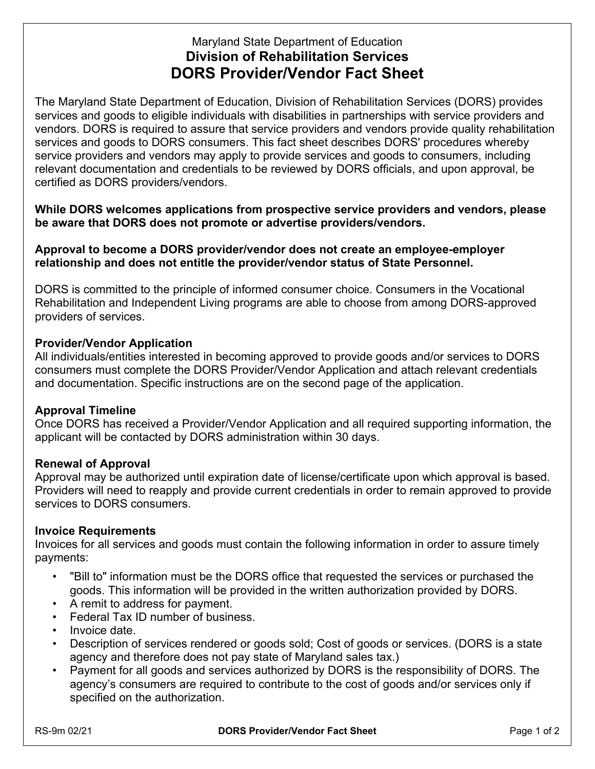# Maryland State Department of Education **Division of Rehabilitation Services DORS Provider/Vendor Fact Sheet**

The Maryland State Department of Education, Division of Rehabilitation Services (DORS) provides services and goods to eligible individuals with disabilities in partnerships with service providers and vendors. DORS is required to assure that service providers and vendors provide quality rehabilitation services and goods to DORS consumers. This fact sheet describes DORS' procedures whereby service providers and vendors may apply to provide services and goods to consumers, including relevant documentation and credentials to be reviewed by DORS officials, and upon approval, be certified as DORS providers/vendors.

**While DORS welcomes applications from prospective service providers and vendors, please be aware that DORS does not promote or advertise providers/vendors.** 

**Approval to become a DORS provider/vendor does not create an employee-employer relationship and does not entitle the provider/vendor status of State Personnel.** 

DORS is committed to the principle of informed consumer choice. Consumers in the Vocational Rehabilitation and Independent Living programs are able to choose from among DORS-approved providers of services.

## **Provider/Vendor Application**

All individuals/entities interested in becoming approved to provide goods and/or services to DORS consumers must complete the DORS Provider/Vendor Application and attach relevant credentials and documentation. Specific instructions are on the second page of the application.

#### **Approval Timeline**

Once DORS has received a Provider/Vendor Application and all required supporting information, the applicant will be contacted by DORS administration within 30 days.

# **Renewal of Approval**

Approval may be authorized until expiration date of license/certificate upon which approval is based. Providers will need to reapply and provide current credentials in order to remain approved to provide services to DORS consumers.

#### **Invoice Requirements**

Invoices for all services and goods must contain the following information in order to assure timely payments:

- "Bill to" information must be the DORS office that requested the services or purchased the goods. This information will be provided in the written authorization provided by DORS.
- A remit to address for payment.
- Federal Tax ID number of business.
- Invoice date.
- Description of services rendered or goods sold; Cost of goods or services. (DORS is a state agency and therefore does not pay state of Maryland sales tax.)
- Payment for all goods and services authorized by DORS is the responsibility of DORS. The agency's consumers are required to contribute to the cost of goods and/or services only if specified on the authorization.